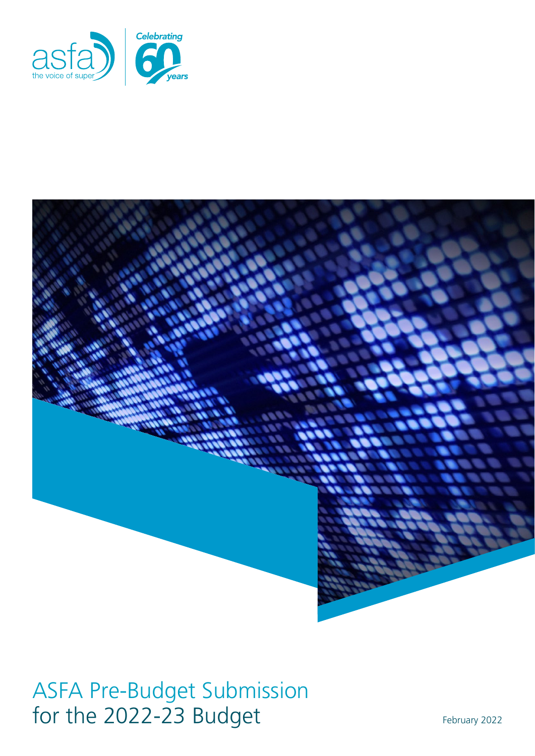



ASFA Pre-Budget Submission for the 2022-23 Budget February 2022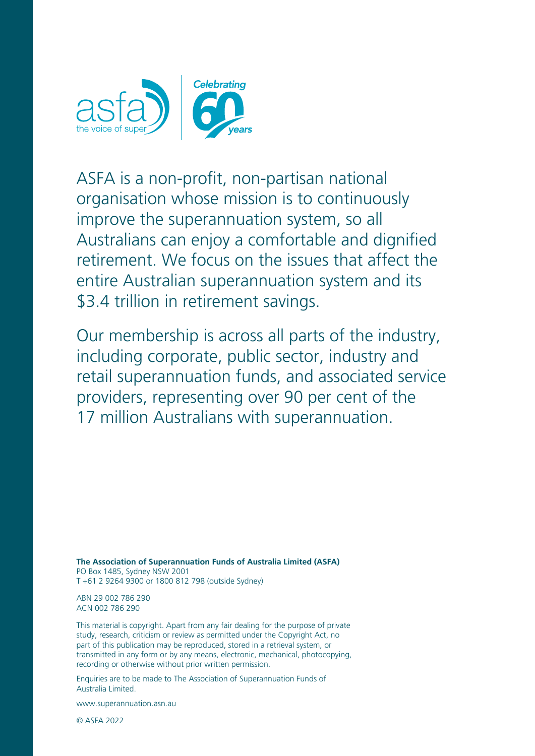

ASFA is a non-profit, non-partisan national organisation whose mission is to continuously improve the superannuation system, so all Australians can enjoy a comfortable and dignified retirement. We focus on the issues that affect the entire Australian superannuation system and its \$3.4 trillion in retirement savings.

Our membership is across all parts of the industry, including corporate, public sector, industry and retail superannuation funds, and associated service providers, representing over 90 per cent of the 17 million Australians with superannuation.

**The Association of Superannuation Funds of Australia Limited (ASFA)** PO Box 1485, Sydney NSW 2001 T +61 2 9264 9300 or 1800 812 798 (outside Sydney)

ABN 29 002 786 290 ACN 002 786 290

This material is copyright. Apart from any fair dealing for the purpose of private study, research, criticism or review as permitted under the Copyright Act, no part of this publication may be reproduced, stored in a retrieval system, or transmitted in any form or by any means, electronic, mechanical, photocopying, recording or otherwise without prior written permission.

Enquiries are to be made to The Association of Superannuation Funds of Australia Limited.

[www.superannuation.asn.au](https://www.superannuation.asn.au/)

© ASFA 2022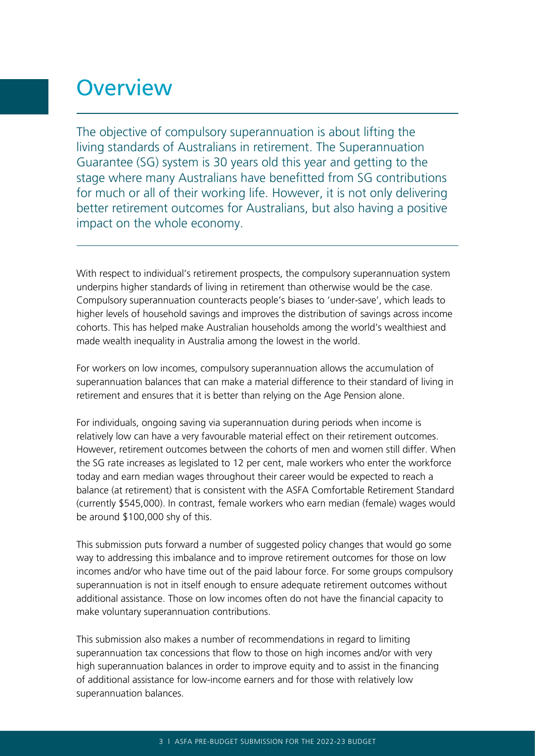# **Overview**

The objective of compulsory superannuation is about lifting the living standards of Australians in retirement. The Superannuation Guarantee (SG) system is 30 years old this year and getting to the stage where many Australians have benefitted from SG contributions for much or all of their working life. However, it is not only delivering better retirement outcomes for Australians, but also having a positive impact on the whole economy.

With respect to individual's retirement prospects, the compulsory superannuation system underpins higher standards of living in retirement than otherwise would be the case. Compulsory superannuation counteracts people's biases to 'under-save', which leads to higher levels of household savings and improves the distribution of savings across income cohorts. This has helped make Australian households among the world's wealthiest and made wealth inequality in Australia among the lowest in the world.

For workers on low incomes, compulsory superannuation allows the accumulation of superannuation balances that can make a material difference to their standard of living in retirement and ensures that it is better than relying on the Age Pension alone.

For individuals, ongoing saving via superannuation during periods when income is relatively low can have a very favourable material effect on their retirement outcomes. However, retirement outcomes between the cohorts of men and women still differ. When the SG rate increases as legislated to 12 per cent, male workers who enter the workforce today and earn median wages throughout their career would be expected to reach a balance (at retirement) that is consistent with the ASFA Comfortable Retirement Standard (currently \$545,000). In contrast, female workers who earn median (female) wages would be around \$100,000 shy of this.

This submission puts forward a number of suggested policy changes that would go some way to addressing this imbalance and to improve retirement outcomes for those on low incomes and/or who have time out of the paid labour force. For some groups compulsory superannuation is not in itself enough to ensure adequate retirement outcomes without additional assistance. Those on low incomes often do not have the financial capacity to make voluntary superannuation contributions.

This submission also makes a number of recommendations in regard to limiting superannuation tax concessions that flow to those on high incomes and/or with very high superannuation balances in order to improve equity and to assist in the financing of additional assistance for low-income earners and for those with relatively low superannuation balances.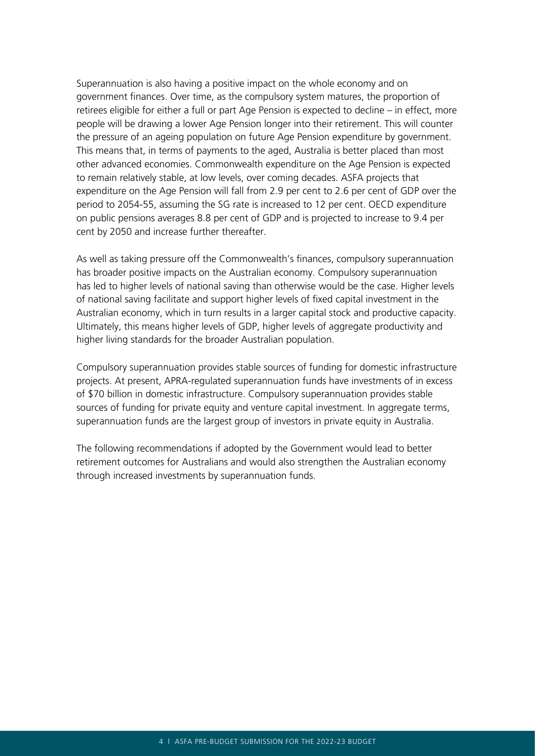Superannuation is also having a positive impact on the whole economy and on government finances. Over time, as the compulsory system matures, the proportion of retirees eligible for either a full or part Age Pension is expected to decline – in effect, more people will be drawing a lower Age Pension longer into their retirement. This will counter the pressure of an ageing population on future Age Pension expenditure by government. This means that, in terms of payments to the aged, Australia is better placed than most other advanced economies. Commonwealth expenditure on the Age Pension is expected to remain relatively stable, at low levels, over coming decades. ASFA projects that expenditure on the Age Pension will fall from 2.9 per cent to 2.6 per cent of GDP over the period to 2054-55, assuming the SG rate is increased to 12 per cent. OECD expenditure on public pensions averages 8.8 per cent of GDP and is projected to increase to 9.4 per cent by 2050 and increase further thereafter.

As well as taking pressure off the Commonwealth's finances, compulsory superannuation has broader positive impacts on the Australian economy. Compulsory superannuation has led to higher levels of national saving than otherwise would be the case. Higher levels of national saving facilitate and support higher levels of fixed capital investment in the Australian economy, which in turn results in a larger capital stock and productive capacity. Ultimately, this means higher levels of GDP, higher levels of aggregate productivity and higher living standards for the broader Australian population.

Compulsory superannuation provides stable sources of funding for domestic infrastructure projects. At present, APRA-regulated superannuation funds have investments of in excess of \$70 billion in domestic infrastructure. Compulsory superannuation provides stable sources of funding for private equity and venture capital investment. In aggregate terms, superannuation funds are the largest group of investors in private equity in Australia.

The following recommendations if adopted by the Government would lead to better retirement outcomes for Australians and would also strengthen the Australian economy through increased investments by superannuation funds.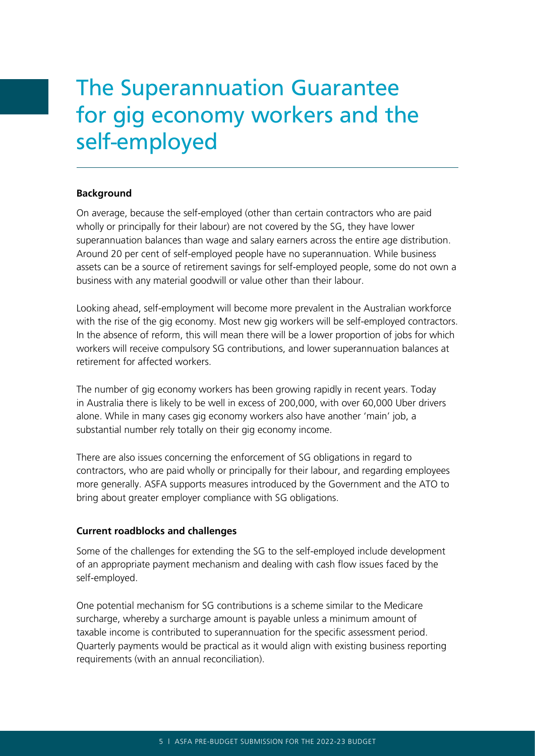# The Superannuation Guarantee for gig economy workers and the self-employed

### **Background**

On average, because the self-employed (other than certain contractors who are paid wholly or principally for their labour) are not covered by the SG, they have lower superannuation balances than wage and salary earners across the entire age distribution. Around 20 per cent of self-employed people have no superannuation. While business assets can be a source of retirement savings for self-employed people, some do not own a business with any material goodwill or value other than their labour.

Looking ahead, self-employment will become more prevalent in the Australian workforce with the rise of the gig economy. Most new gig workers will be self-employed contractors. In the absence of reform, this will mean there will be a lower proportion of jobs for which workers will receive compulsory SG contributions, and lower superannuation balances at retirement for affected workers.

The number of gig economy workers has been growing rapidly in recent years. Today in Australia there is likely to be well in excess of 200,000, with over 60,000 Uber drivers alone. While in many cases gig economy workers also have another 'main' job, a substantial number rely totally on their gig economy income.

There are also issues concerning the enforcement of SG obligations in regard to contractors, who are paid wholly or principally for their labour, and regarding employees more generally. ASFA supports measures introduced by the Government and the ATO to bring about greater employer compliance with SG obligations.

### **Current roadblocks and challenges**

Some of the challenges for extending the SG to the self-employed include development of an appropriate payment mechanism and dealing with cash flow issues faced by the self-employed.

One potential mechanism for SG contributions is a scheme similar to the Medicare surcharge, whereby a surcharge amount is payable unless a minimum amount of taxable income is contributed to superannuation for the specific assessment period. Quarterly payments would be practical as it would align with existing business reporting requirements (with an annual reconciliation).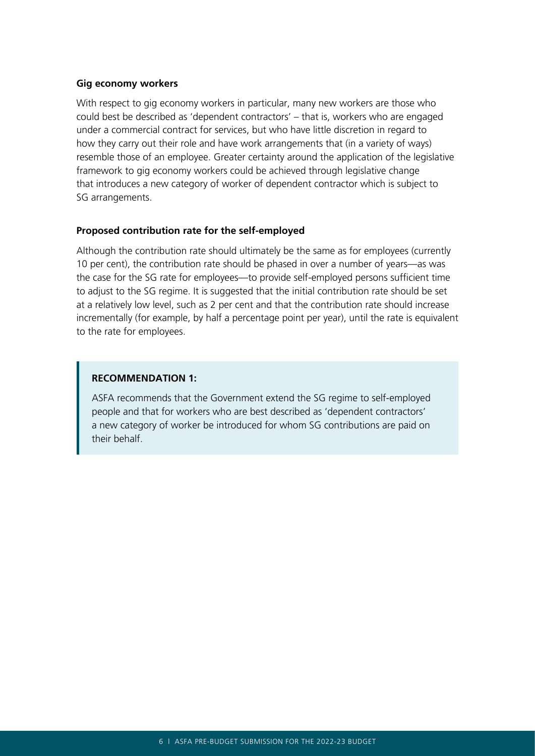#### **Gig economy workers**

With respect to gig economy workers in particular, many new workers are those who could best be described as 'dependent contractors' – that is, workers who are engaged under a commercial contract for services, but who have little discretion in regard to how they carry out their role and have work arrangements that (in a variety of ways) resemble those of an employee. Greater certainty around the application of the legislative framework to gig economy workers could be achieved through legislative change that introduces a new category of worker of dependent contractor which is subject to SG arrangements.

### **Proposed contribution rate for the self-employed**

Although the contribution rate should ultimately be the same as for employees (currently 10 per cent), the contribution rate should be phased in over a number of years—as was the case for the SG rate for employees—to provide self-employed persons sufficient time to adjust to the SG regime. It is suggested that the initial contribution rate should be set at a relatively low level, such as 2 per cent and that the contribution rate should increase incrementally (for example, by half a percentage point per year), until the rate is equivalent to the rate for employees.

### **RECOMMENDATION 1:**

ASFA recommends that the Government extend the SG regime to self-employed people and that for workers who are best described as 'dependent contractors' a new category of worker be introduced for whom SG contributions are paid on their behalf.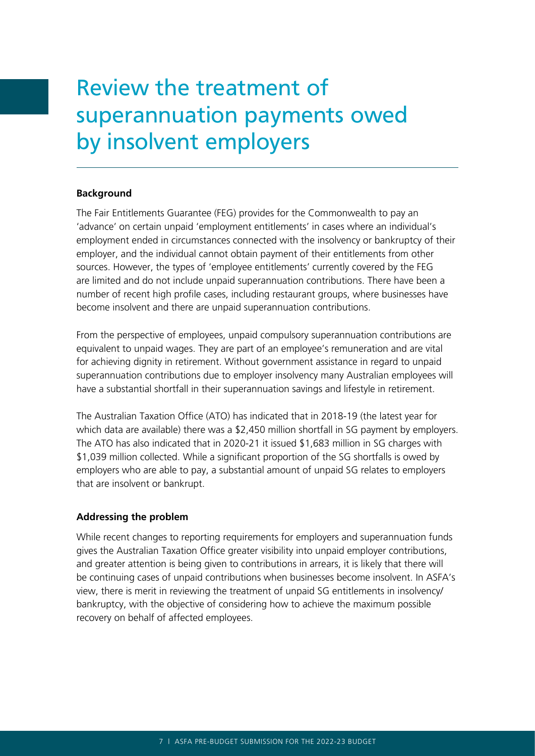# Review the treatment of superannuation payments owed by insolvent employers

### **Background**

The Fair Entitlements Guarantee (FEG) provides for the Commonwealth to pay an 'advance' on certain unpaid 'employment entitlements' in cases where an individual's employment ended in circumstances connected with the insolvency or bankruptcy of their employer, and the individual cannot obtain payment of their entitlements from other sources. However, the types of 'employee entitlements' currently covered by the FEG are limited and do not include unpaid superannuation contributions. There have been a number of recent high profile cases, including restaurant groups, where businesses have become insolvent and there are unpaid superannuation contributions.

From the perspective of employees, unpaid compulsory superannuation contributions are equivalent to unpaid wages. They are part of an employee's remuneration and are vital for achieving dignity in retirement. Without government assistance in regard to unpaid superannuation contributions due to employer insolvency many Australian employees will have a substantial shortfall in their superannuation savings and lifestyle in retirement.

The Australian Taxation Office (ATO) has indicated that in 2018-19 (the latest year for which data are available) there was a \$2,450 million shortfall in SG payment by employers. The ATO has also indicated that in 2020-21 it issued \$1,683 million in SG charges with \$1,039 million collected. While a significant proportion of the SG shortfalls is owed by employers who are able to pay, a substantial amount of unpaid SG relates to employers that are insolvent or bankrupt.

### **Addressing the problem**

While recent changes to reporting requirements for employers and superannuation funds gives the Australian Taxation Office greater visibility into unpaid employer contributions, and greater attention is being given to contributions in arrears, it is likely that there will be continuing cases of unpaid contributions when businesses become insolvent. In ASFA's view, there is merit in reviewing the treatment of unpaid SG entitlements in insolvency/ bankruptcy, with the objective of considering how to achieve the maximum possible recovery on behalf of affected employees.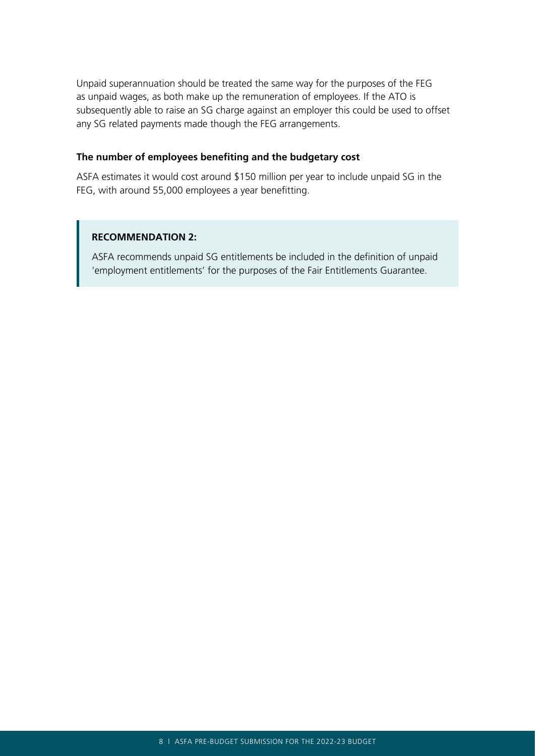Unpaid superannuation should be treated the same way for the purposes of the FEG as unpaid wages, as both make up the remuneration of employees. If the ATO is subsequently able to raise an SG charge against an employer this could be used to offset any SG related payments made though the FEG arrangements.

### **The number of employees benefiting and the budgetary cost**

ASFA estimates it would cost around \$150 million per year to include unpaid SG in the FEG, with around 55,000 employees a year benefitting.

### **RECOMMENDATION 2:**

ASFA recommends unpaid SG entitlements be included in the definition of unpaid 'employment entitlements' for the purposes of the Fair Entitlements Guarantee.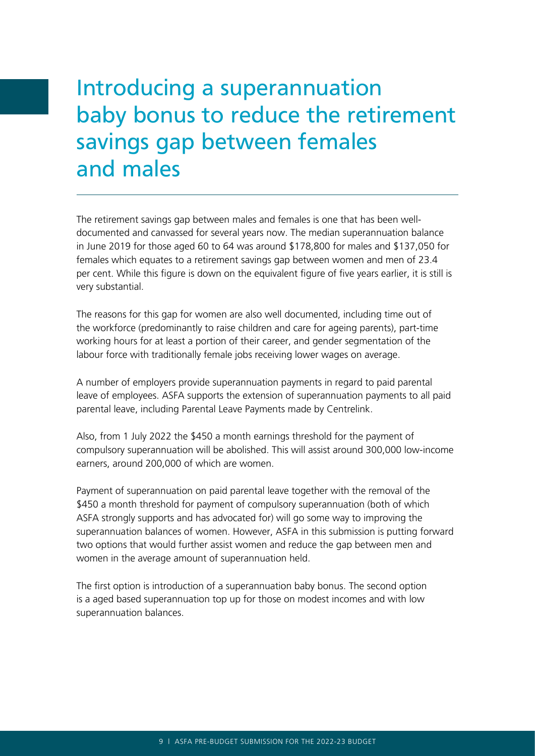# Introducing a superannuation baby bonus to reduce the retirement savings gap between females and males

The retirement savings gap between males and females is one that has been welldocumented and canvassed for several years now. The median superannuation balance in June 2019 for those aged 60 to 64 was around \$178,800 for males and \$137,050 for females which equates to a retirement savings gap between women and men of 23.4 per cent. While this figure is down on the equivalent figure of five years earlier, it is still is very substantial.

The reasons for this gap for women are also well documented, including time out of the workforce (predominantly to raise children and care for ageing parents), part-time working hours for at least a portion of their career, and gender segmentation of the labour force with traditionally female jobs receiving lower wages on average.

A number of employers provide superannuation payments in regard to paid parental leave of employees. ASFA supports the extension of superannuation payments to all paid parental leave, including Parental Leave Payments made by Centrelink.

Also, from 1 July 2022 the \$450 a month earnings threshold for the payment of compulsory superannuation will be abolished. This will assist around 300,000 low-income earners, around 200,000 of which are women.

Payment of superannuation on paid parental leave together with the removal of the \$450 a month threshold for payment of compulsory superannuation (both of which ASFA strongly supports and has advocated for) will go some way to improving the superannuation balances of women. However, ASFA in this submission is putting forward two options that would further assist women and reduce the gap between men and women in the average amount of superannuation held.

The first option is introduction of a superannuation baby bonus. The second option is a aged based superannuation top up for those on modest incomes and with low superannuation balances.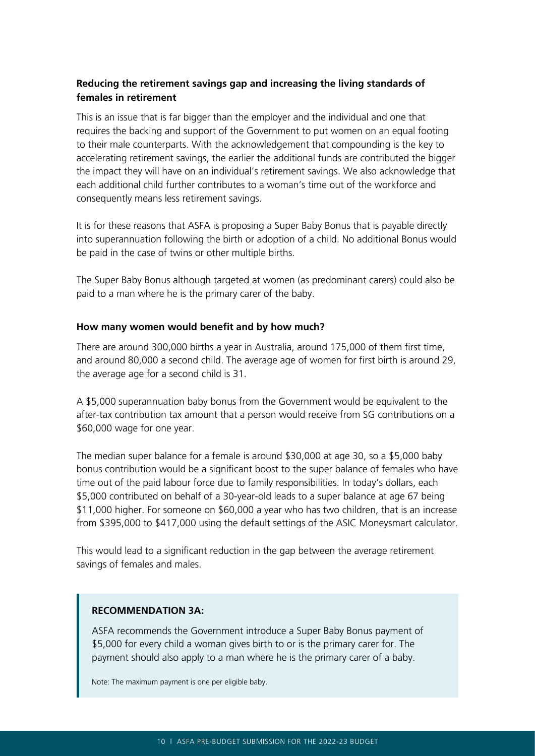# **Reducing the retirement savings gap and increasing the living standards of females in retirement**

This is an issue that is far bigger than the employer and the individual and one that requires the backing and support of the Government to put women on an equal footing to their male counterparts. With the acknowledgement that compounding is the key to accelerating retirement savings, the earlier the additional funds are contributed the bigger the impact they will have on an individual's retirement savings. We also acknowledge that each additional child further contributes to a woman's time out of the workforce and consequently means less retirement savings.

It is for these reasons that ASFA is proposing a Super Baby Bonus that is payable directly into superannuation following the birth or adoption of a child. No additional Bonus would be paid in the case of twins or other multiple births.

The Super Baby Bonus although targeted at women (as predominant carers) could also be paid to a man where he is the primary carer of the baby.

### **How many women would benefit and by how much?**

There are around 300,000 births a year in Australia, around 175,000 of them first time, and around 80,000 a second child. The average age of women for first birth is around 29, the average age for a second child is 31.

A \$5,000 superannuation baby bonus from the Government would be equivalent to the after-tax contribution tax amount that a person would receive from SG contributions on a \$60,000 wage for one year.

The median super balance for a female is around \$30,000 at age 30, so a \$5,000 baby bonus contribution would be a significant boost to the super balance of females who have time out of the paid labour force due to family responsibilities. In today's dollars, each \$5,000 contributed on behalf of a 30-year-old leads to a super balance at age 67 being \$11,000 higher. For someone on \$60,000 a year who has two children, that is an increase from \$395,000 to \$417,000 using the default settings of the ASIC Moneysmart calculator.

This would lead to a significant reduction in the gap between the average retirement savings of females and males.

### **RECOMMENDATION 3A:**

ASFA recommends the Government introduce a Super Baby Bonus payment of \$5,000 for every child a woman gives birth to or is the primary carer for. The payment should also apply to a man where he is the primary carer of a baby.

Note: The maximum payment is one per eligible baby.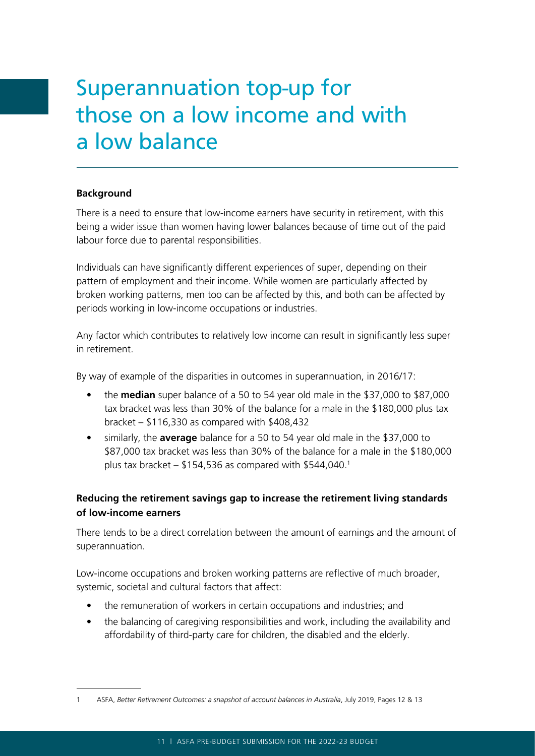# Superannuation top-up for those on a low income and with a low balance

### **Background**

There is a need to ensure that low-income earners have security in retirement, with this being a wider issue than women having lower balances because of time out of the paid labour force due to parental responsibilities.

Individuals can have significantly different experiences of super, depending on their pattern of employment and their income. While women are particularly affected by broken working patterns, men too can be affected by this, and both can be affected by periods working in low-income occupations or industries.

Any factor which contributes to relatively low income can result in significantly less super in retirement.

By way of example of the disparities in outcomes in superannuation, in 2016/17:

- the **median** super balance of a 50 to 54 year old male in the \$37,000 to \$87,000 tax bracket was less than 30% of the balance for a male in the \$180,000 plus tax bracket – \$116,330 as compared with \$408,432
- similarly, the **average** balance for a 50 to 54 year old male in the \$37,000 to \$87,000 tax bracket was less than 30% of the balance for a male in the \$180,000 plus tax bracket  $-$  \$154,536 as compared with \$544,040.<sup>1</sup>

# **Reducing the retirement savings gap to increase the retirement living standards of low-income earners**

There tends to be a direct correlation between the amount of earnings and the amount of superannuation.

Low-income occupations and broken working patterns are reflective of much broader, systemic, societal and cultural factors that affect:

- the remuneration of workers in certain occupations and industries; and
- the balancing of caregiving responsibilities and work, including the availability and affordability of third-party care for children, the disabled and the elderly.

<sup>1</sup> ASFA, *Better Retirement Outcomes: a snapshot of account balances in Australia*, July 2019, Pages 12 & 13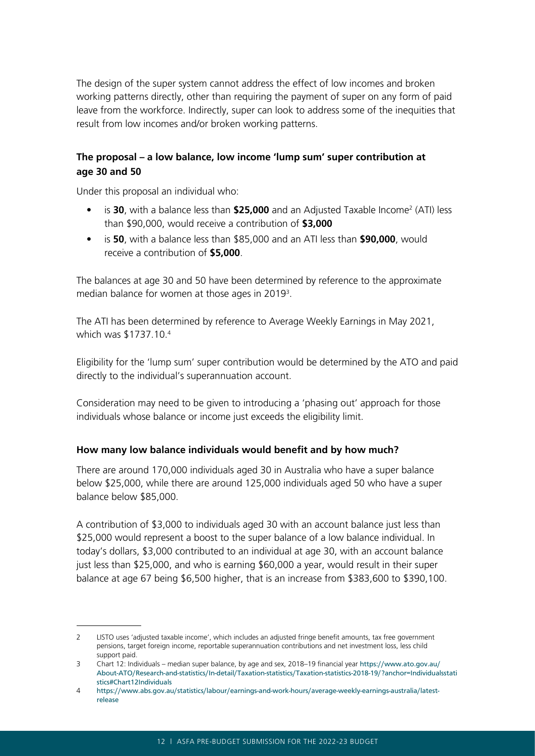The design of the super system cannot address the effect of low incomes and broken working patterns directly, other than requiring the payment of super on any form of paid leave from the workforce. Indirectly, super can look to address some of the inequities that result from low incomes and/or broken working patterns.

# **The proposal – a low balance, low income 'lump sum' super contribution at age 30 and 50**

Under this proposal an individual who:

- is **30**, with a balance less than **\$25,000** and an Adjusted Taxable Income<sup>2</sup> (ATI) less than \$90,000, would receive a contribution of **\$3,000**
- is **50**, with a balance less than \$85,000 and an ATI less than **\$90,000**, would receive a contribution of **\$5,000**.

The balances at age 30 and 50 have been determined by reference to the approximate median balance for women at those ages in 2019<sup>3</sup>.

The ATI has been determined by reference to Average Weekly Earnings in May 2021, which was \$1737.10.4

Eligibility for the 'lump sum' super contribution would be determined by the ATO and paid directly to the individual's superannuation account.

Consideration may need to be given to introducing a 'phasing out' approach for those individuals whose balance or income just exceeds the eligibility limit.

### **How many low balance individuals would benefit and by how much?**

There are around 170,000 individuals aged 30 in Australia who have a super balance below \$25,000, while there are around 125,000 individuals aged 50 who have a super balance below \$85,000.

A contribution of \$3,000 to individuals aged 30 with an account balance just less than \$25,000 would represent a boost to the super balance of a low balance individual. In today's dollars, \$3,000 contributed to an individual at age 30, with an account balance just less than \$25,000, and who is earning \$60,000 a year, would result in their super balance at age 67 being \$6,500 higher, that is an increase from \$383,600 to \$390,100.

<sup>2</sup> LISTO uses 'adjusted taxable income', which includes an adjusted fringe benefit amounts, tax free government pensions, target foreign income, reportable superannuation contributions and net investment loss, less child support paid.

<sup>3</sup> Chart 12: Individuals – median super balance, by age and sex, 2018–19 financial year [https://www.ato.gov.au/](https://www.ato.gov.au/About-ATO/Research-and-statistics/In-detail/Taxation-statistics/Taxation-stat) [About-ATO/Research-and-statistics/In-detail/Taxation-statistics/Taxation-statistics-2018-19/?anchor=Individualsstati](https://www.ato.gov.au/About-ATO/Research-and-statistics/In-detail/Taxation-statistics/Taxation-stat) [stics#Chart12Individuals](https://www.ato.gov.au/About-ATO/Research-and-statistics/In-detail/Taxation-statistics/Taxation-stat)

<sup>4</sup> [https://www.abs.gov.au/statistics/labour/earnings-and-work-hours/average-weekly-earnings-australia/latest](https://www.abs.gov.au/statistics/labour/earnings-and-work-hours/average-weekly-earnings-australia/l)[release](https://www.abs.gov.au/statistics/labour/earnings-and-work-hours/average-weekly-earnings-australia/l)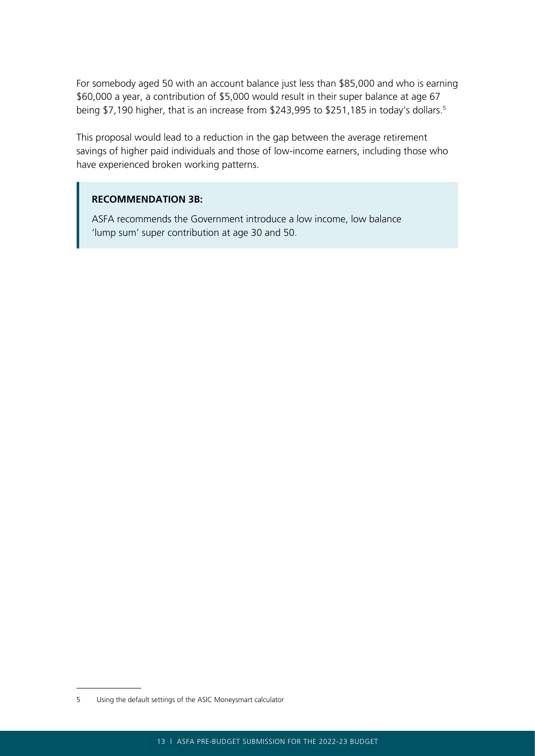For somebody aged 50 with an account balance just less than \$85,000 and who is earning \$60,000 a year, a contribution of \$5,000 would result in their super balance at age 67 being \$7,190 higher, that is an increase from \$243,995 to \$251,185 in today's dollars.<sup>5</sup>

This proposal would lead to a reduction in the gap between the average retirement savings of higher paid individuals and those of low-income earners, including those who have experienced broken working patterns.

### **This proposal would lead to a reduce retirement in the gap between the average retirement in the average retirement of**  $\mathbf{r}$  $s$  individuals of  $s$  individuals and those of low-income earners, including those whose whose whose whose whose whose whose whose whose whose whose whose whose whose whose whose whose whose whose whose whose whose whose

 $\blacksquare$  ASFA recommends the Government introduce a low income, low balance 'lump sum' super contribution at age 30 and 50.

<sup>5</sup> Using the default settings of the ASIC Moneysmart calculator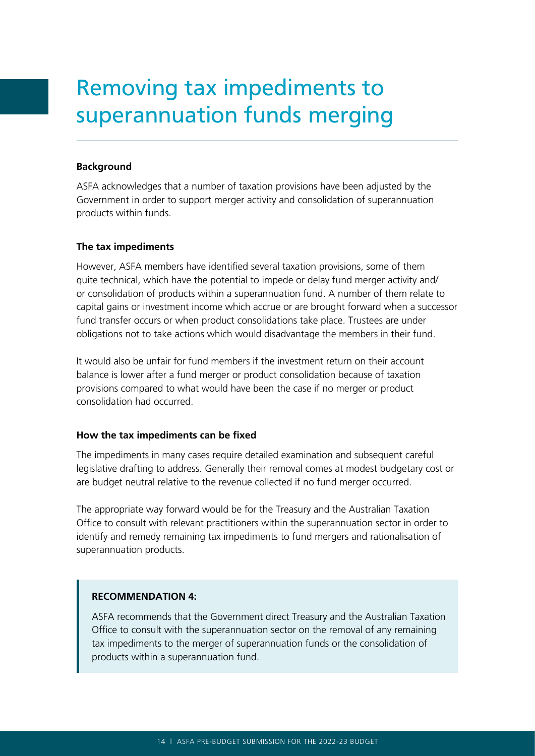# Removing tax impediments to superannuation funds merging

### **Background**

ASFA acknowledges that a number of taxation provisions have been adjusted by the Government in order to support merger activity and consolidation of superannuation products within funds.

#### **The tax impediments**

However, ASFA members have identified several taxation provisions, some of them quite technical, which have the potential to impede or delay fund merger activity and/ or consolidation of products within a superannuation fund. A number of them relate to capital gains or investment income which accrue or are brought forward when a successor fund transfer occurs or when product consolidations take place. Trustees are under obligations not to take actions which would disadvantage the members in their fund.

It would also be unfair for fund members if the investment return on their account balance is lower after a fund merger or product consolidation because of taxation provisions compared to what would have been the case if no merger or product consolidation had occurred.

### **How the tax impediments can be fixed**

The impediments in many cases require detailed examination and subsequent careful legislative drafting to address. Generally their removal comes at modest budgetary cost or are budget neutral relative to the revenue collected if no fund merger occurred.

The appropriate way forward would be for the Treasury and the Australian Taxation Office to consult with relevant practitioners within the superannuation sector in order to identify and remedy remaining tax impediments to fund mergers and rationalisation of superannuation products.

### **RECOMMENDATION 4:**

ASFA recommends that the Government direct Treasury and the Australian Taxation Office to consult with the superannuation sector on the removal of any remaining tax impediments to the merger of superannuation funds or the consolidation of products within a superannuation fund.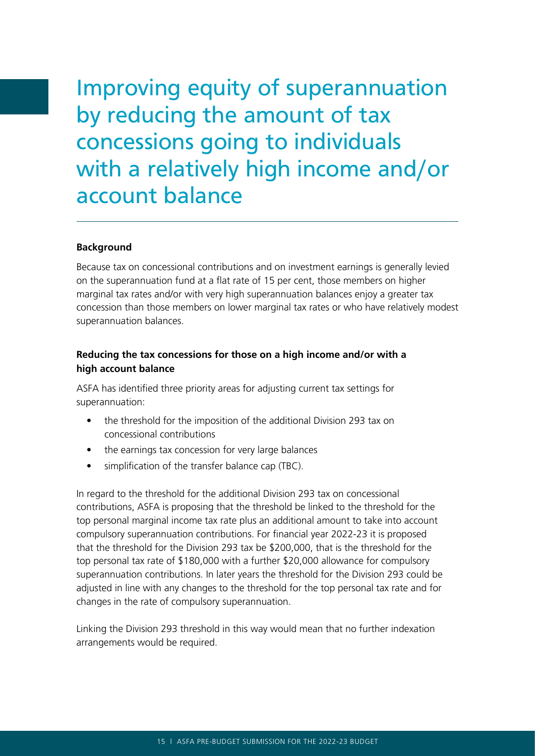Improving equity of superannuation by reducing the amount of tax concessions going to individuals with a relatively high income and/or account balance

#### **Background**

Because tax on concessional contributions and on investment earnings is generally levied on the superannuation fund at a flat rate of 15 per cent, those members on higher marginal tax rates and/or with very high superannuation balances enjoy a greater tax concession than those members on lower marginal tax rates or who have relatively modest superannuation balances.

## **Reducing the tax concessions for those on a high income and/or with a high account balance**

ASFA has identified three priority areas for adjusting current tax settings for superannuation:

- the threshold for the imposition of the additional Division 293 tax on concessional contributions
- the earnings tax concession for very large balances
- simplification of the transfer balance cap (TBC).

In regard to the threshold for the additional Division 293 tax on concessional contributions, ASFA is proposing that the threshold be linked to the threshold for the top personal marginal income tax rate plus an additional amount to take into account compulsory superannuation contributions. For financial year 2022-23 it is proposed that the threshold for the Division 293 tax be \$200,000, that is the threshold for the top personal tax rate of \$180,000 with a further \$20,000 allowance for compulsory superannuation contributions. In later years the threshold for the Division 293 could be adjusted in line with any changes to the threshold for the top personal tax rate and for changes in the rate of compulsory superannuation.

Linking the Division 293 threshold in this way would mean that no further indexation arrangements would be required.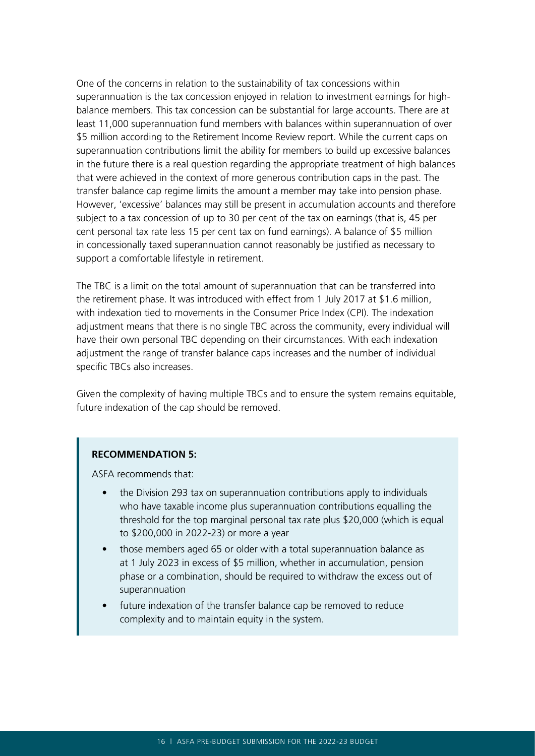One of the concerns in relation to the sustainability of tax concessions within superannuation is the tax concession enjoyed in relation to investment earnings for highbalance members. This tax concession can be substantial for large accounts. There are at least 11,000 superannuation fund members with balances within superannuation of over \$5 million according to the Retirement Income Review report. While the current caps on superannuation contributions limit the ability for members to build up excessive balances in the future there is a real question regarding the appropriate treatment of high balances that were achieved in the context of more generous contribution caps in the past. The transfer balance cap regime limits the amount a member may take into pension phase. However, 'excessive' balances may still be present in accumulation accounts and therefore subject to a tax concession of up to 30 per cent of the tax on earnings (that is, 45 per cent personal tax rate less 15 per cent tax on fund earnings). A balance of \$5 million in concessionally taxed superannuation cannot reasonably be justified as necessary to support a comfortable lifestyle in retirement.

The TBC is a limit on the total amount of superannuation that can be transferred into the retirement phase. It was introduced with effect from 1 July 2017 at \$1.6 million, with indexation tied to movements in the Consumer Price Index (CPI). The indexation adjustment means that there is no single TBC across the community, every individual will have their own personal TBC depending on their circumstances. With each indexation adjustment the range of transfer balance caps increases and the number of individual specific TBCs also increases.

Given the complexity of having multiple TBCs and to ensure the system remains equitable, future indexation of the cap should be removed.

#### **RECOMMENDATION 5:**

ASFA recommends that:

- the Division 293 tax on superannuation contributions apply to individuals who have taxable income plus superannuation contributions equalling the threshold for the top marginal personal tax rate plus \$20,000 (which is equal to \$200,000 in 2022-23) or more a year
- those members aged 65 or older with a total superannuation balance as at 1 July 2023 in excess of \$5 million, whether in accumulation, pension phase or a combination, should be required to withdraw the excess out of superannuation
- future indexation of the transfer balance cap be removed to reduce complexity and to maintain equity in the system.